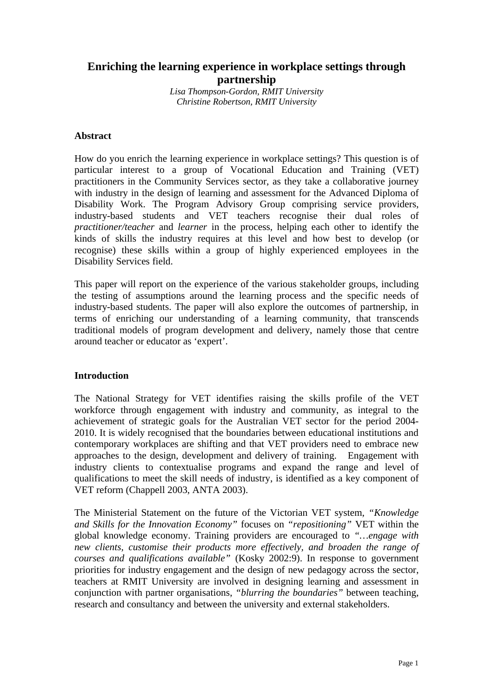# **Enriching the learning experience in workplace settings through partnership**

*Lisa Thompson-Gordon, RMIT University Christine Robertson, RMIT University*

#### **Abstract**

How do you enrich the learning experience in workplace settings? This question is of particular interest to a group of Vocational Education and Training (VET) practitioners in the Community Services sector, as they take a collaborative journey with industry in the design of learning and assessment for the Advanced Diploma of Disability Work. The Program Advisory Group comprising service providers, industry-based students and VET teachers recognise their dual roles of *practitioner/teacher* and *learner* in the process, helping each other to identify the kinds of skills the industry requires at this level and how best to develop (or recognise) these skills within a group of highly experienced employees in the Disability Services field.

This paper will report on the experience of the various stakeholder groups, including the testing of assumptions around the learning process and the specific needs of industry-based students. The paper will also explore the outcomes of partnership, in terms of enriching our understanding of a learning community, that transcends traditional models of program development and delivery, namely those that centre around teacher or educator as 'expert'.

# **Introduction**

The National Strategy for VET identifies raising the skills profile of the VET workforce through engagement with industry and community, as integral to the achievement of strategic goals for the Australian VET sector for the period 2004- 2010. It is widely recognised that the boundaries between educational institutions and contemporary workplaces are shifting and that VET providers need to embrace new approaches to the design, development and delivery of training. Engagement with industry clients to contextualise programs and expand the range and level of qualifications to meet the skill needs of industry, is identified as a key component of VET reform (Chappell 2003, ANTA 2003).

The Ministerial Statement on the future of the Victorian VET system, *"Knowledge and Skills for the Innovation Economy"* focuses on *"repositioning"* VET within the global knowledge economy. Training providers are encouraged to *"…engage with new clients, customise their products more effectively, and broaden the range of courses and qualifications available"* (Kosky 2002:9). In response to government priorities for industry engagement and the design of new pedagogy across the sector, teachers at RMIT University are involved in designing learning and assessment in conjunction with partner organisations, *"blurring the boundaries"* between teaching, research and consultancy and between the university and external stakeholders.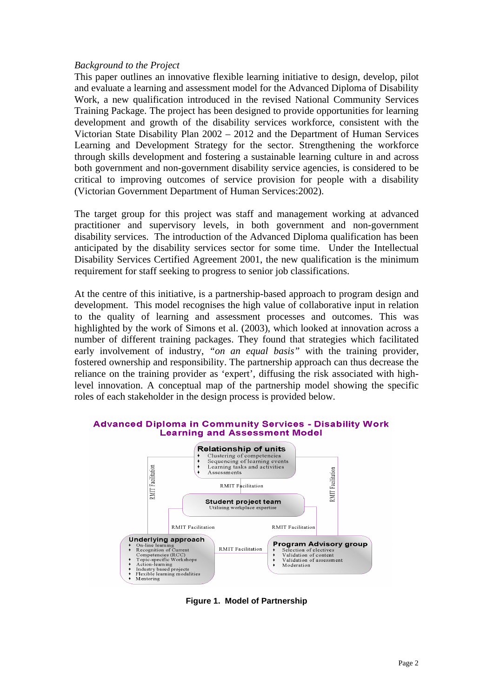# *Background to the Project*

This paper outlines an innovative flexible learning initiative to design, develop, pilot and evaluate a learning and assessment model for the Advanced Diploma of Disability Work, a new qualification introduced in the revised National Community Services Training Package. The project has been designed to provide opportunities for learning development and growth of the disability services workforce, consistent with the Victorian State Disability Plan 2002 – 2012 and the Department of Human Services Learning and Development Strategy for the sector. Strengthening the workforce through skills development and fostering a sustainable learning culture in and across both government and non-government disability service agencies, is considered to be critical to improving outcomes of service provision for people with a disability (Victorian Government Department of Human Services:2002).

The target group for this project was staff and management working at advanced practitioner and supervisory levels, in both government and non-government disability services. The introduction of the Advanced Diploma qualification has been anticipated by the disability services sector for some time. Under the Intellectual Disability Services Certified Agreement 2001, the new qualification is the minimum requirement for staff seeking to progress to senior job classifications.

At the centre of this initiative, is a partnership-based approach to program design and development. This model recognises the high value of collaborative input in relation to the quality of learning and assessment processes and outcomes. This was highlighted by the work of Simons et al. (2003), which looked at innovation across a number of different training packages. They found that strategies which facilitated early involvement of industry, *"on an equal basis"* with the training provider, fostered ownership and responsibility. The partnership approach can thus decrease the reliance on the training provider as 'expert', diffusing the risk associated with highlevel innovation. A conceptual map of the partnership model showing the specific roles of each stakeholder in the design process is provided below.

#### **Advanced Diploma in Community Services - Disability Work Learning and Assessment Model**



**Figure 1. Model of Partnership**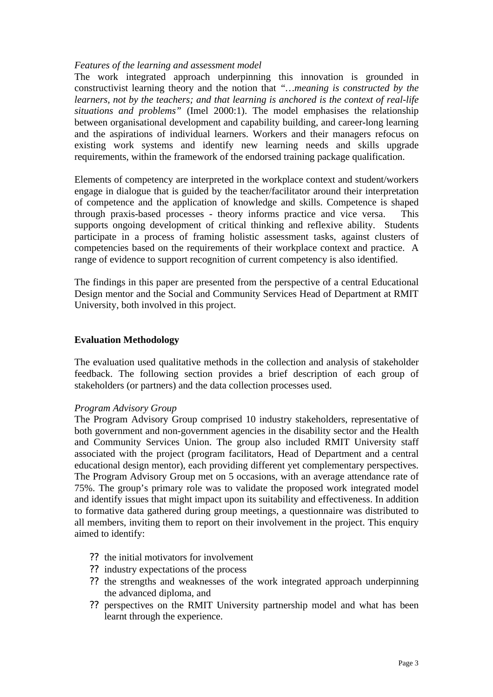# *Features of the learning and assessment model*

The work integrated approach underpinning this innovation is grounded in constructivist learning theory and the notion that *"…meaning is constructed by the learners, not by the teachers; and that learning is anchored is the context of real-life situations and problems"* (Imel 2000:1). The model emphasises the relationship between organisational development and capability building, and career-long learning and the aspirations of individual learners. Workers and their managers refocus on existing work systems and identify new learning needs and skills upgrade requirements, within the framework of the endorsed training package qualification.

Elements of competency are interpreted in the workplace context and student/workers engage in dialogue that is guided by the teacher/facilitator around their interpretation of competence and the application of knowledge and skills. Competence is shaped through praxis-based processes - theory informs practice and vice versa. This supports ongoing development of critical thinking and reflexive ability. Students participate in a process of framing holistic assessment tasks, against clusters of competencies based on the requirements of their workplace context and practice. A range of evidence to support recognition of current competency is also identified.

The findings in this paper are presented from the perspective of a central Educational Design mentor and the Social and Community Services Head of Department at RMIT University, both involved in this project.

# **Evaluation Methodology**

The evaluation used qualitative methods in the collection and analysis of stakeholder feedback. The following section provides a brief description of each group of stakeholders (or partners) and the data collection processes used.

# *Program Advisory Group*

The Program Advisory Group comprised 10 industry stakeholders, representative of both government and non-government agencies in the disability sector and the Health and Community Services Union. The group also included RMIT University staff associated with the project (program facilitators, Head of Department and a central educational design mentor), each providing different yet complementary perspectives. The Program Advisory Group met on 5 occasions, with an average attendance rate of 75%. The group's primary role was to validate the proposed work integrated model and identify issues that might impact upon its suitability and effectiveness. In addition to formative data gathered during group meetings, a questionnaire was distributed to all members, inviting them to report on their involvement in the project. This enquiry aimed to identify:

- ?? the initial motivators for involvement
- ?? industry expectations of the process
- ?? the strengths and weaknesses of the work integrated approach underpinning the advanced diploma, and
- ?? perspectives on the RMIT University partnership model and what has been learnt through the experience.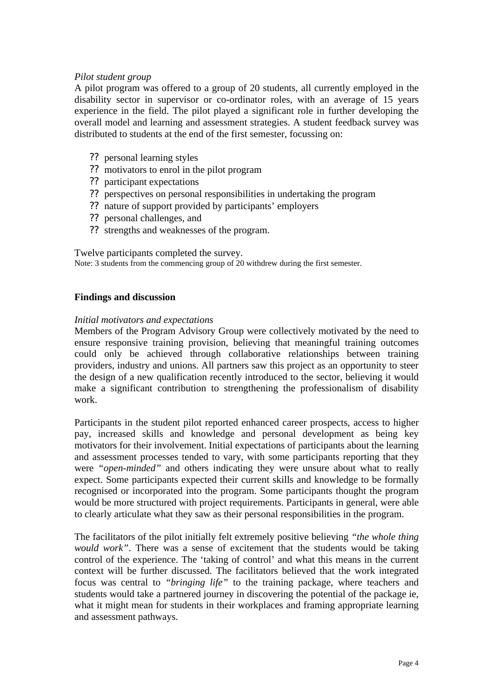# *Pilot student group*

A pilot program was offered to a group of 20 students, all currently employed in the disability sector in supervisor or co-ordinator roles, with an average of 15 years experience in the field. The pilot played a significant role in further developing the overall model and learning and assessment strategies. A student feedback survey was distributed to students at the end of the first semester, focussing on:

- ?? personal learning styles
- ?? motivators to enrol in the pilot program
- ?? participant expectations
- ?? perspectives on personal responsibilities in undertaking the program
- ?? nature of support provided by participants' employers
- ?? personal challenges, and
- ?? strengths and weaknesses of the program.

Twelve participants completed the survey.

Note: 3 students from the commencing group of 20 withdrew during the first semester.

# **Findings and discussion**

# *Initial motivators and expectations*

Members of the Program Advisory Group were collectively motivated by the need to ensure responsive training provision, believing that meaningful training outcomes could only be achieved through collaborative relationships between training providers, industry and unions. All partners saw this project as an opportunity to steer the design of a new qualification recently introduced to the sector, believing it would make a significant contribution to strengthening the professionalism of disability work.

Participants in the student pilot reported enhanced career prospects, access to higher pay, increased skills and knowledge and personal development as being key motivators for their involvement. Initial expectations of participants about the learning and assessment processes tended to vary, with some participants reporting that they were *"open-minded"* and others indicating they were unsure about what to really expect. Some participants expected their current skills and knowledge to be formally recognised or incorporated into the program. Some participants thought the program would be more structured with project requirements. Participants in general, were able to clearly articulate what they saw as their personal responsibilities in the program.

The facilitators of the pilot initially felt extremely positive believing *"the whole thing would work"*. There was a sense of excitement that the students would be taking control of the experience. The 'taking of control' and what this means in the current context will be further discussed. The facilitators believed that the work integrated focus was central to *"bringing life"* to the training package, where teachers and students would take a partnered journey in discovering the potential of the package ie, what it might mean for students in their workplaces and framing appropriate learning and assessment pathways.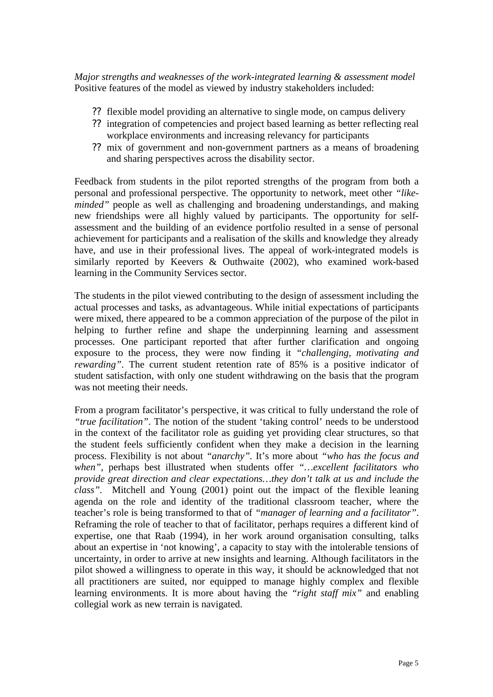*Major strengths and weaknesses of the work-integrated learning & assessment model* Positive features of the model as viewed by industry stakeholders included:

- ?? flexible model providing an alternative to single mode, on campus delivery
- ?? integration of competencies and project based learning as better reflecting real workplace environments and increasing relevancy for participants
- ?? mix of government and non-government partners as a means of broadening and sharing perspectives across the disability sector.

Feedback from students in the pilot reported strengths of the program from both a personal and professional perspective. The opportunity to network, meet other *"likeminded*" people as well as challenging and broadening understandings, and making new friendships were all highly valued by participants. The opportunity for selfassessment and the building of an evidence portfolio resulted in a sense of personal achievement for participants and a realisation of the skills and knowledge they already have, and use in their professional lives. The appeal of work-integrated models is similarly reported by Keevers & Outhwaite (2002), who examined work-based learning in the Community Services sector.

The students in the pilot viewed contributing to the design of assessment including the actual processes and tasks, as advantageous. While initial expectations of participants were mixed, there appeared to be a common appreciation of the purpose of the pilot in helping to further refine and shape the underpinning learning and assessment processes. One participant reported that after further clarification and ongoing exposure to the process, they were now finding it *"challenging, motivating and rewarding*". The current student retention rate of 85% is a positive indicator of student satisfaction, with only one student withdrawing on the basis that the program was not meeting their needs.

From a program facilitator's perspective, it was critical to fully understand the role of *"true facilitation"*. The notion of the student 'taking control' needs to be understood in the context of the facilitator role as guiding yet providing clear structures, so that the student feels sufficiently confident when they make a decision in the learning process. Flexibility is not about *"anarchy".* It's more about *"who has the focus and when"*, perhaps best illustrated when students offer *"…excellent facilitators who provide great direction and clear expectations…they don't talk at us and include the class".* Mitchell and Young (2001) point out the impact of the flexible leaning agenda on the role and identity of the traditional classroom teacher, where the teacher's role is being transformed to that of *"manager of learning and a facilitator"*. Reframing the role of teacher to that of facilitator, perhaps requires a different kind of expertise, one that Raab (1994), in her work around organisation consulting, talks about an expertise in 'not knowing', a capacity to stay with the intolerable tensions of uncertainty, in order to arrive at new insights and learning. Although facilitators in the pilot showed a willingness to operate in this way, it should be acknowledged that not all practitioners are suited, nor equipped to manage highly complex and flexible learning environments. It is more about having the *"right staff mix"* and enabling collegial work as new terrain is navigated.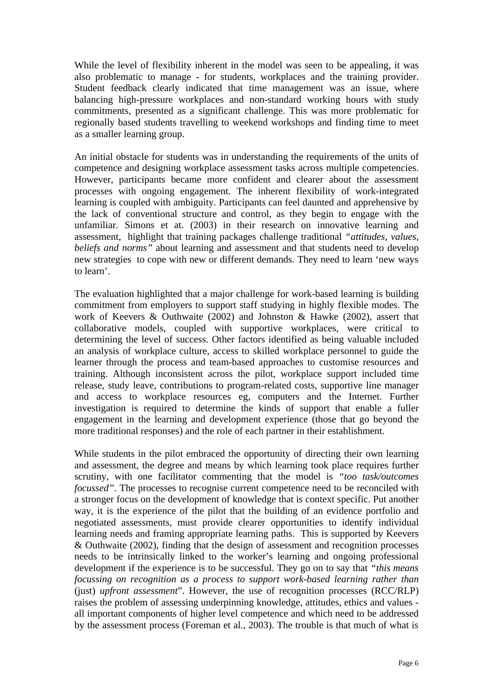While the level of flexibility inherent in the model was seen to be appealing, it was also problematic to manage - for students, workplaces and the training provider. Student feedback clearly indicated that time management was an issue, where balancing high-pressure workplaces and non-standard working hours with study commitments, presented as a significant challenge. This was more problematic for regionally based students travelling to weekend workshops and finding time to meet as a smaller learning group.

An initial obstacle for students was in understanding the requirements of the units of competence and designing workplace assessment tasks across multiple competencies. However, participants became more confident and clearer about the assessment processes with ongoing engagement. The inherent flexibility of work-integrated learning is coupled with ambiguity. Participants can feel daunted and apprehensive by the lack of conventional structure and control, as they begin to engage with the unfamiliar. Simons et at. (2003) in their research on innovative learning and assessment, highlight that training packages challenge traditional *"attitudes, values, beliefs and norms"* about learning and assessment and that students need to develop new strategies to cope with new or different demands. They need to learn 'new ways to learn'.

The evaluation highlighted that a major challenge for work-based learning is building commitment from employers to support staff studying in highly flexible modes. The work of Keevers & Outhwaite (2002) and Johnston & Hawke (2002), assert that collaborative models, coupled with supportive workplaces, were critical to determining the level of success. Other factors identified as being valuable included an analysis of workplace culture, access to skilled workplace personnel to guide the learner through the process and team-based approaches to customise resources and training. Although inconsistent across the pilot, workplace support included time release, study leave, contributions to program-related costs, supportive line manager and access to workplace resources eg, computers and the Internet. Further investigation is required to determine the kinds of support that enable a fuller engagement in the learning and development experience (those that go beyond the more traditional responses) and the role of each partner in their establishment.

While students in the pilot embraced the opportunity of directing their own learning and assessment, the degree and means by which learning took place requires further scrutiny, with one facilitator commenting that the model is *"too task/outcomes focussed"*. The processes to recognise current competence need to be reconciled with a stronger focus on the development of knowledge that is context specific. Put another way, it is the experience of the pilot that the building of an evidence portfolio and negotiated assessments, must provide clearer opportunities to identify individual learning needs and framing appropriate learning paths. This is supported by Keevers & Outhwaite (2002), finding that the design of assessment and recognition processes needs to be intrinsically linked to the worker's learning and ongoing professional development if the experience is to be successful. They go on to say that *"this means focussing on recognition as a process to support work-based learning rather than* (just) *upfront assessment*". However, the use of recognition processes (RCC/RLP) raises the problem of assessing underpinning knowledge, attitudes, ethics and values all important components of higher level competence and which need to be addressed by the assessment process (Foreman et al., 2003). The trouble is that much of what is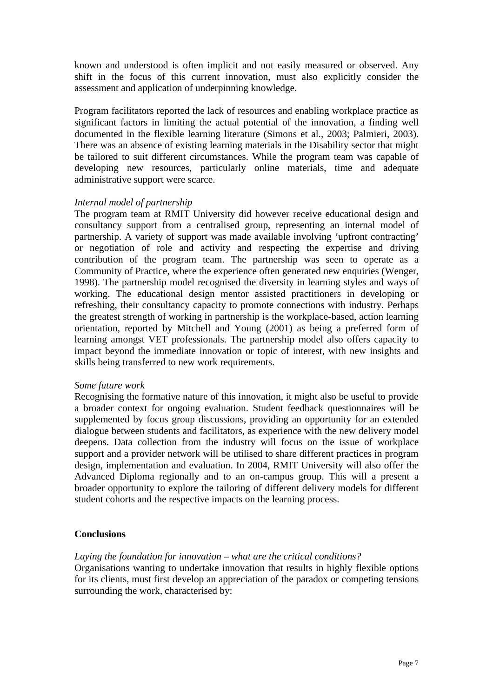known and understood is often implicit and not easily measured or observed. Any shift in the focus of this current innovation, must also explicitly consider the assessment and application of underpinning knowledge.

Program facilitators reported the lack of resources and enabling workplace practice as significant factors in limiting the actual potential of the innovation, a finding well documented in the flexible learning literature (Simons et al., 2003; Palmieri, 2003). There was an absence of existing learning materials in the Disability sector that might be tailored to suit different circumstances. While the program team was capable of developing new resources, particularly online materials, time and adequate administrative support were scarce.

#### *Internal model of partnership*

The program team at RMIT University did however receive educational design and consultancy support from a centralised group, representing an internal model of partnership. A variety of support was made available involving 'upfront contracting' or negotiation of role and activity and respecting the expertise and driving contribution of the program team. The partnership was seen to operate as a Community of Practice, where the experience often generated new enquiries (Wenger, 1998). The partnership model recognised the diversity in learning styles and ways of working. The educational design mentor assisted practitioners in developing or refreshing, their consultancy capacity to promote connections with industry. Perhaps the greatest strength of working in partnership is the workplace-based, action learning orientation, reported by Mitchell and Young (2001) as being a preferred form of learning amongst VET professionals. The partnership model also offers capacity to impact beyond the immediate innovation or topic of interest, with new insights and skills being transferred to new work requirements.

#### *Some future work*

Recognising the formative nature of this innovation, it might also be useful to provide a broader context for ongoing evaluation. Student feedback questionnaires will be supplemented by focus group discussions, providing an opportunity for an extended dialogue between students and facilitators, as experience with the new delivery model deepens. Data collection from the industry will focus on the issue of workplace support and a provider network will be utilised to share different practices in program design, implementation and evaluation. In 2004, RMIT University will also offer the Advanced Diploma regionally and to an on-campus group. This will a present a broader opportunity to explore the tailoring of different delivery models for different student cohorts and the respective impacts on the learning process.

# **Conclusions**

# *Laying the foundation for innovation – what are the critical conditions?*

Organisations wanting to undertake innovation that results in highly flexible options for its clients, must first develop an appreciation of the paradox or competing tensions surrounding the work, characterised by: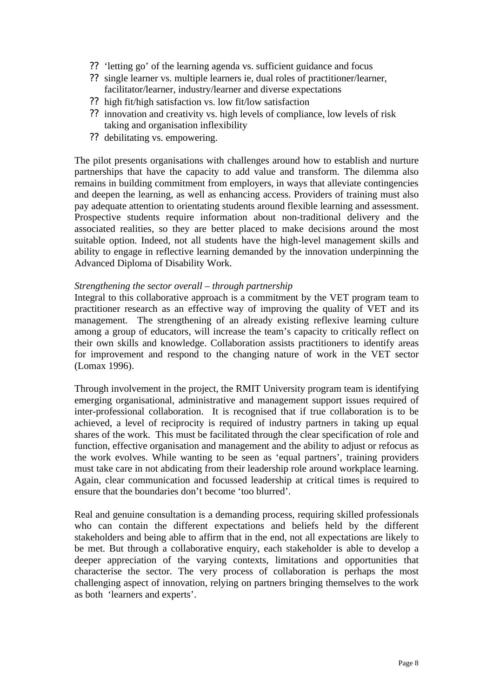- ?? 'letting go' of the learning agenda vs. sufficient guidance and focus
- ?? single learner vs. multiple learners ie, dual roles of practitioner/learner, facilitator/learner, industry/learner and diverse expectations
- ?? high fit/high satisfaction vs. low fit/low satisfaction
- ?? innovation and creativity vs. high levels of compliance, low levels of risk taking and organisation inflexibility
- ?? debilitating vs. empowering.

The pilot presents organisations with challenges around how to establish and nurture partnerships that have the capacity to add value and transform. The dilemma also remains in building commitment from employers, in ways that alleviate contingencies and deepen the learning, as well as enhancing access. Providers of training must also pay adequate attention to orientating students around flexible learning and assessment. Prospective students require information about non-traditional delivery and the associated realities, so they are better placed to make decisions around the most suitable option. Indeed, not all students have the high-level management skills and ability to engage in reflective learning demanded by the innovation underpinning the Advanced Diploma of Disability Work.

# *Strengthening the sector overall – through partnership*

Integral to this collaborative approach is a commitment by the VET program team to practitioner research as an effective way of improving the quality of VET and its management. The strengthening of an already existing reflexive learning culture among a group of educators, will increase the team's capacity to critically reflect on their own skills and knowledge. Collaboration assists practitioners to identify areas for improvement and respond to the changing nature of work in the VET sector (Lomax 1996).

Through involvement in the project, the RMIT University program team is identifying emerging organisational, administrative and management support issues required of inter-professional collaboration. It is recognised that if true collaboration is to be achieved, a level of reciprocity is required of industry partners in taking up equal shares of the work. This must be facilitated through the clear specification of role and function, effective organisation and management and the ability to adjust or refocus as the work evolves. While wanting to be seen as 'equal partners', training providers must take care in not abdicating from their leadership role around workplace learning. Again, clear communication and focussed leadership at critical times is required to ensure that the boundaries don't become 'too blurred'.

Real and genuine consultation is a demanding process, requiring skilled professionals who can contain the different expectations and beliefs held by the different stakeholders and being able to affirm that in the end, not all expectations are likely to be met. But through a collaborative enquiry, each stakeholder is able to develop a deeper appreciation of the varying contexts, limitations and opportunities that characterise the sector. The very process of collaboration is perhaps the most challenging aspect of innovation, relying on partners bringing themselves to the work as both 'learners and experts'.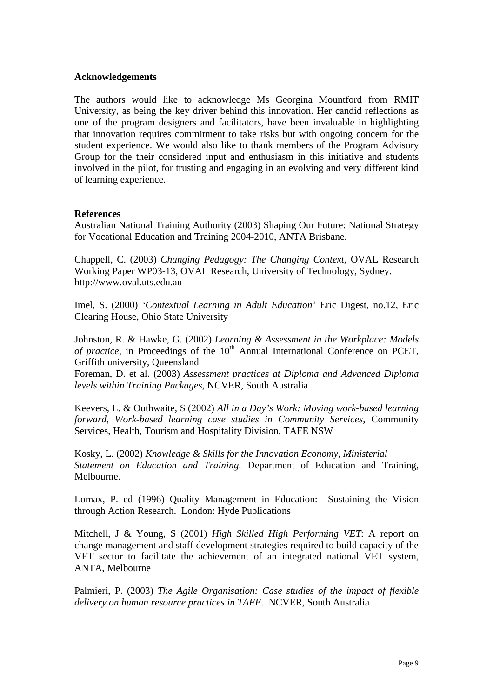#### **Acknowledgements**

The authors would like to acknowledge Ms Georgina Mountford from RMIT University, as being the key driver behind this innovation. Her candid reflections as one of the program designers and facilitators, have been invaluable in highlighting that innovation requires commitment to take risks but with ongoing concern for the student experience. We would also like to thank members of the Program Advisory Group for the their considered input and enthusiasm in this initiative and students involved in the pilot, for trusting and engaging in an evolving and very different kind of learning experience.

#### **References**

Australian National Training Authority (2003) Shaping Our Future: National Strategy for Vocational Education and Training 2004-2010, ANTA Brisbane.

Chappell, C. (2003) *Changing Pedagogy: The Changing Context,* OVAL Research Working Paper WP03-13, OVAL Research, University of Technology, Sydney. http://www.oval.uts.edu.au

Imel, S. (2000) *'Contextual Learning in Adult Education'* Eric Digest, no.12, Eric Clearing House, Ohio State University

Johnston, R. & Hawke, G. (2002) *Learning & Assessment in the Workplace: Models of practice*, in Proceedings of the 10<sup>th</sup> Annual International Conference on PCET, Griffith university, Queensland

Foreman, D. et al. (2003) *Assessment practices at Diploma and Advanced Diploma levels within Training Packages*, NCVER, South Australia

Keevers, L. & Outhwaite, S (2002) *All in a Day's Work: Moving work-based learning forward, Work-based learning case studies in Community Services*, Community Services, Health, Tourism and Hospitality Division, TAFE NSW

Kosky, L. (2002) *Knowledge & Skills for the Innovation Economy, Ministerial Statement on Education and Training*. Department of Education and Training, Melbourne.

Lomax, P. ed (1996) Quality Management in Education: Sustaining the Vision through Action Research. London: Hyde Publications

Mitchell, J & Young, S (2001) *High Skilled High Performing VET*: A report on change management and staff development strategies required to build capacity of the VET sector to facilitate the achievement of an integrated national VET system, ANTA, Melbourne

Palmieri, P. (2003) *The Agile Organisation: Case studies of the impact of flexible delivery on human resource practices in TAFE*. NCVER, South Australia